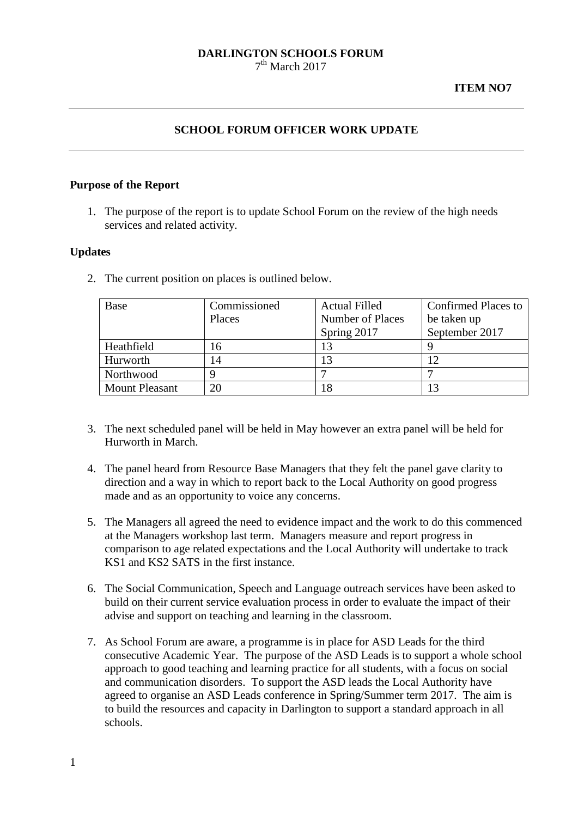#### **DARLINGTON SCHOOLS FORUM**  $7<sup>th</sup>$  March 2017

### **ITEM NO7**

# **SCHOOL FORUM OFFICER WORK UPDATE**

#### **Purpose of the Report**

1. The purpose of the report is to update School Forum on the review of the high needs services and related activity.

#### **Updates**

2. The current position on places is outlined below.

| Base                  | Commissioned | <b>Actual Filled</b> | <b>Confirmed Places to</b> |
|-----------------------|--------------|----------------------|----------------------------|
|                       | Places       | Number of Places     | be taken up                |
|                       |              | Spring 2017          | September 2017             |
| Heathfield            | 16           | 13                   |                            |
| Hurworth              | 14           | 13                   | 12                         |
| Northwood             |              |                      |                            |
| <b>Mount Pleasant</b> | 20           | 18                   | 13                         |

- 3. The next scheduled panel will be held in May however an extra panel will be held for Hurworth in March.
- 4. The panel heard from Resource Base Managers that they felt the panel gave clarity to direction and a way in which to report back to the Local Authority on good progress made and as an opportunity to voice any concerns.
- 5. The Managers all agreed the need to evidence impact and the work to do this commenced at the Managers workshop last term. Managers measure and report progress in comparison to age related expectations and the Local Authority will undertake to track KS1 and KS2 SATS in the first instance.
- 6. The Social Communication, Speech and Language outreach services have been asked to build on their current service evaluation process in order to evaluate the impact of their advise and support on teaching and learning in the classroom.
- 7. As School Forum are aware, a programme is in place for ASD Leads for the third consecutive Academic Year. The purpose of the ASD Leads is to support a whole school approach to good teaching and learning practice for all students, with a focus on social and communication disorders. To support the ASD leads the Local Authority have agreed to organise an ASD Leads conference in Spring/Summer term 2017. The aim is to build the resources and capacity in Darlington to support a standard approach in all schools.